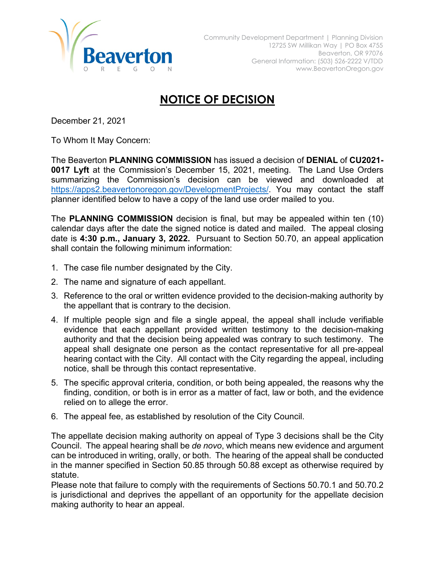

## **NOTICE OF DECISION**

December 21, 2021

To Whom It May Concern:

The Beaverton **PLANNING COMMISSION** has issued a decision of **DENIAL** of **CU2021- 0017 Lyft** at the Commission's December 15, 2021, meeting. The Land Use Orders summarizing the Commission's decision can be viewed and downloaded at [https://apps2.beavertonoregon.gov/DevelopmentProjects/.](https://apps2.beavertonoregon.gov/DevelopmentProjects/) You may contact the staff planner identified below to have a copy of the land use order mailed to you.

The **PLANNING COMMISSION** decision is final, but may be appealed within ten (10) calendar days after the date the signed notice is dated and mailed. The appeal closing date is **4:30 p.m., January 3, 2022.** Pursuant to Section 50.70, an appeal application shall contain the following minimum information:

- 1. The case file number designated by the City.
- 2. The name and signature of each appellant.
- 3. Reference to the oral or written evidence provided to the decision-making authority by the appellant that is contrary to the decision.
- 4. If multiple people sign and file a single appeal, the appeal shall include verifiable evidence that each appellant provided written testimony to the decision-making authority and that the decision being appealed was contrary to such testimony. The appeal shall designate one person as the contact representative for all pre-appeal hearing contact with the City. All contact with the City regarding the appeal, including notice, shall be through this contact representative.
- 5. The specific approval criteria, condition, or both being appealed, the reasons why the finding, condition, or both is in error as a matter of fact, law or both, and the evidence relied on to allege the error.
- 6. The appeal fee, as established by resolution of the City Council.

The appellate decision making authority on appeal of Type 3 decisions shall be the City Council. The appeal hearing shall be *de novo*, which means new evidence and argument can be introduced in writing, orally, or both. The hearing of the appeal shall be conducted in the manner specified in Section 50.85 through 50.88 except as otherwise required by statute.

Please note that failure to comply with the requirements of Sections 50.70.1 and 50.70.2 is jurisdictional and deprives the appellant of an opportunity for the appellate decision making authority to hear an appeal.